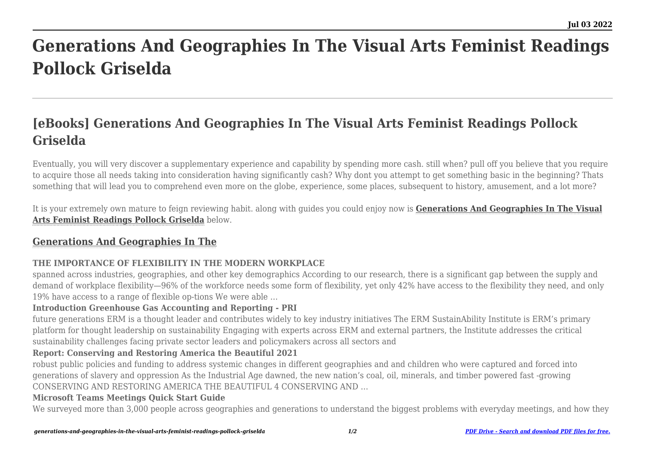# **Generations And Geographies In The Visual Arts Feminist Readings Pollock Griselda**

# **[eBooks] Generations And Geographies In The Visual Arts Feminist Readings Pollock Griselda**

Eventually, you will very discover a supplementary experience and capability by spending more cash. still when? pull off you believe that you require to acquire those all needs taking into consideration having significantly cash? Why dont you attempt to get something basic in the beginning? Thats something that will lead you to comprehend even more on the globe, experience, some places, subsequent to history, amusement, and a lot more?

It is your extremely own mature to feign reviewing habit. along with guides you could enjoy now is **[Generations And Geographies In The Visual](https://uniport.edu.ng) [Arts Feminist Readings Pollock Griselda](https://uniport.edu.ng)** below.

# **[Generations And Geographies In The](https://uniport.edu.ng/generations-and-geographies-in-the-visual-arts-feminist-readings-pollock-griselda.pdf)**

## **THE IMPORTANCE OF FLEXIBILITY IN THE MODERN WORKPLACE**

spanned across industries, geographies, and other key demographics According to our research, there is a significant gap between the supply and demand of workplace flexibility—96% of the workforce needs some form of flexibility, yet only 42% have access to the flexibility they need, and only 19% have access to a range of flexible op-tions We were able …

#### **Introduction Greenhouse Gas Accounting and Reporting - PRI**

future generations ERM is a thought leader and contributes widely to key industry initiatives The ERM SustainAbility Institute is ERM's primary platform for thought leadership on sustainability Engaging with experts across ERM and external partners, the Institute addresses the critical sustainability challenges facing private sector leaders and policymakers across all sectors and

### **Report: Conserving and Restoring America the Beautiful 2021**

robust public policies and funding to address systemic changes in different geographies and and children who were captured and forced into generations of slavery and oppression As the Industrial Age dawned, the new nation's coal, oil, minerals, and timber powered fast -growing CONSERVING AND RESTORING AMERICA THE BEAUTIFUL 4 CONSERVING AND …

### **Microsoft Teams Meetings Quick Start Guide**

We surveyed more than 3,000 people across geographies and generations to understand the biggest problems with everyday meetings, and how they